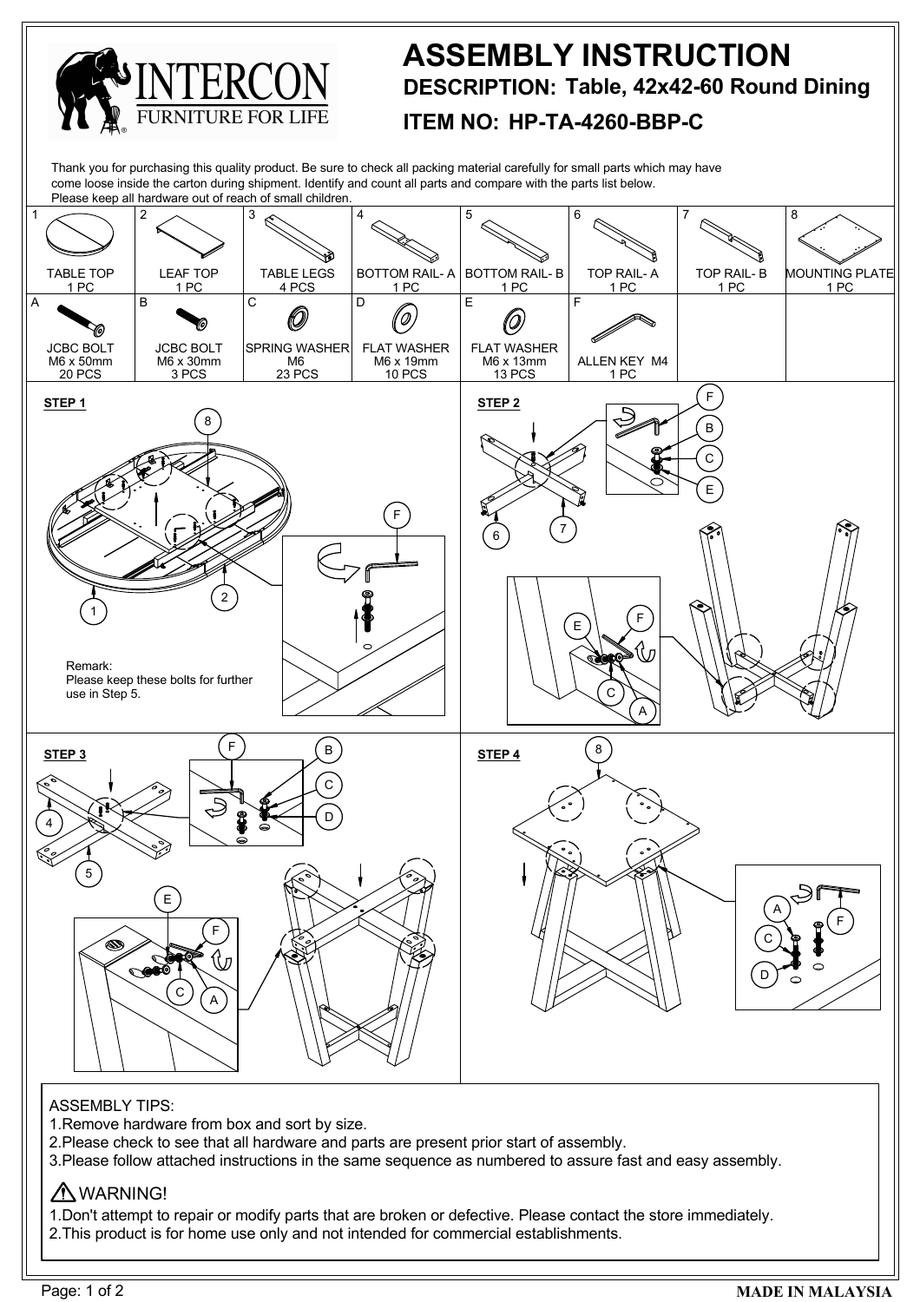

- 2.Please check to see that all hardware and parts are present prior start of assembly.
- 3.Please follow attached instructions in the same sequence as numbered to assure fast and easy assembly.

## A WARNING!

1.Don't attempt to repair or modify parts that are broken or defective. Please contact the store immediately. 2.This product is for home use only and not intended for commercial establishments.